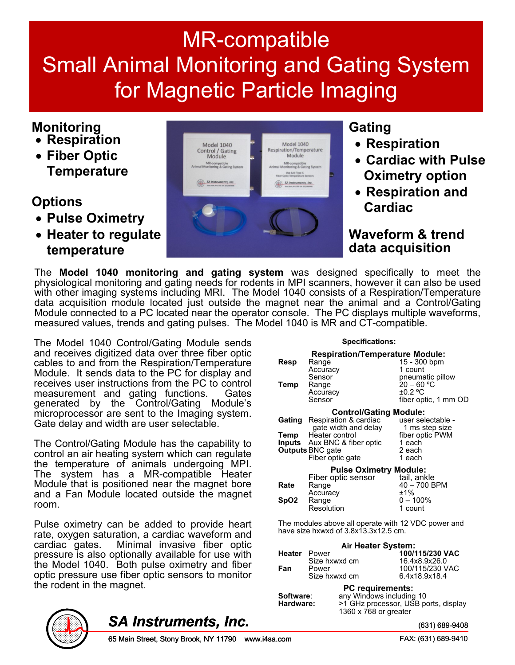## MR-compatible Small Animal Monitoring and Gating System for Magnetic Particle Imaging

### **Monitoring**

- **Respiration**
- **Fiber Optic Temperature**

#### **Options**

- **Pulse Oximetry**
- **Heater to regulate temperature**



#### **Gating**

- **Respiration**
- **Cardiac with Pulse Oximetry option**
- **Respiration and Cardiac**

**Waveform & trend data acquisition**

The **Model 1040 monitoring and gating system** was designed specifically to meet the physiological monitoring and gating needs for rodents in MPI scanners, however it can also be used with other imaging systems including MRI. The Model 1040 consists of a Respiration/Temperature data acquisition module located just outside the magnet near the animal and a Control/Gating Module connected to a PC located near the operator console. The PC displays multiple waveforms, measured values, trends and gating pulses. The Model 1040 is MR and CT-compatible.

The Model 1040 Control/Gating Module sends and receives digitized data over three fiber optic cables to and from the Respiration/Temperature Module. It sends data to the PC for display and receives user instructions from the PC to control measurement and gating functions. Gates generated by the Control/Gating Module's microprocessor are sent to the Imaging system. Gate delay and width are user selectable.

The Control/Gating Module has the capability to control an air heating system which can regulate the temperature of animals undergoing MPI. The system has a MR-compatible Heater Module that is positioned near the magnet bore and a Fan Module located outside the magnet room.

Pulse oximetry can be added to provide heart rate, oxygen saturation, a cardiac waveform and cardiac gates. Minimal invasive fiber optic pressure is also optionally available for use with the Model 1040. Both pulse oximetry and fiber optic pressure use fiber optic sensors to monitor the rodent in the magnet.

#### **Specifications:**

| Resp<br>Temp   | <b>Respiration/Temperature Module:</b><br>Range<br>Accuracy<br>Sensor<br>Range<br>Accuracy<br>Sensor                                                                                   | 15 - 300 bpm<br>1 count<br>pneumatic pillow<br>$20 - 60 °C$<br>±0.2 °C<br>fiber optic, 1 mm OD |
|----------------|----------------------------------------------------------------------------------------------------------------------------------------------------------------------------------------|------------------------------------------------------------------------------------------------|
| Gating<br>Temp | <b>Control/Gating Module:</b><br>Respiration & cardiac<br>gate width and delay<br>Heater control<br><b>Inputs</b> Aux BNC & fiber optic<br><b>Outputs BNC gate</b><br>Fiber optic gate | user selectable -<br>1 ms step size<br>fiber optic PWM<br>1 each<br>2 each<br>1 each           |
| Rate<br>SpO2   | <b>Pulse Oximetry Module:</b><br>Fiber optic sensor<br>Range<br>Accuracy<br>Range<br>Resolution                                                                                        | tail, ankle<br>40 - 700 BPM<br>±1%<br>$0 - 100\%$<br>1 count                                   |

The modules above all operate with 12 VDC power and have size hxwxd of 3.8x13.3x12.5 cm.

|                     | Air Heater System: |                 |
|---------------------|--------------------|-----------------|
| <b>Heater</b> Power |                    | 100/115/230 VAC |
|                     | Size hxwxd cm      | 16.4x8.9x26.0   |
| Fan                 | Power              | 100/115/230 VAC |
|                     | Size hxwxd cm      | 6.4x18.9x18.4   |

|           | <b>PC</b> requirements:              |
|-----------|--------------------------------------|
| Software: | any Windows including 10             |
| Hardware: | >1 GHz processor, USB ports, display |
|           | 1360 x 768 or greater                |



### *SA Instruments, Inc.*